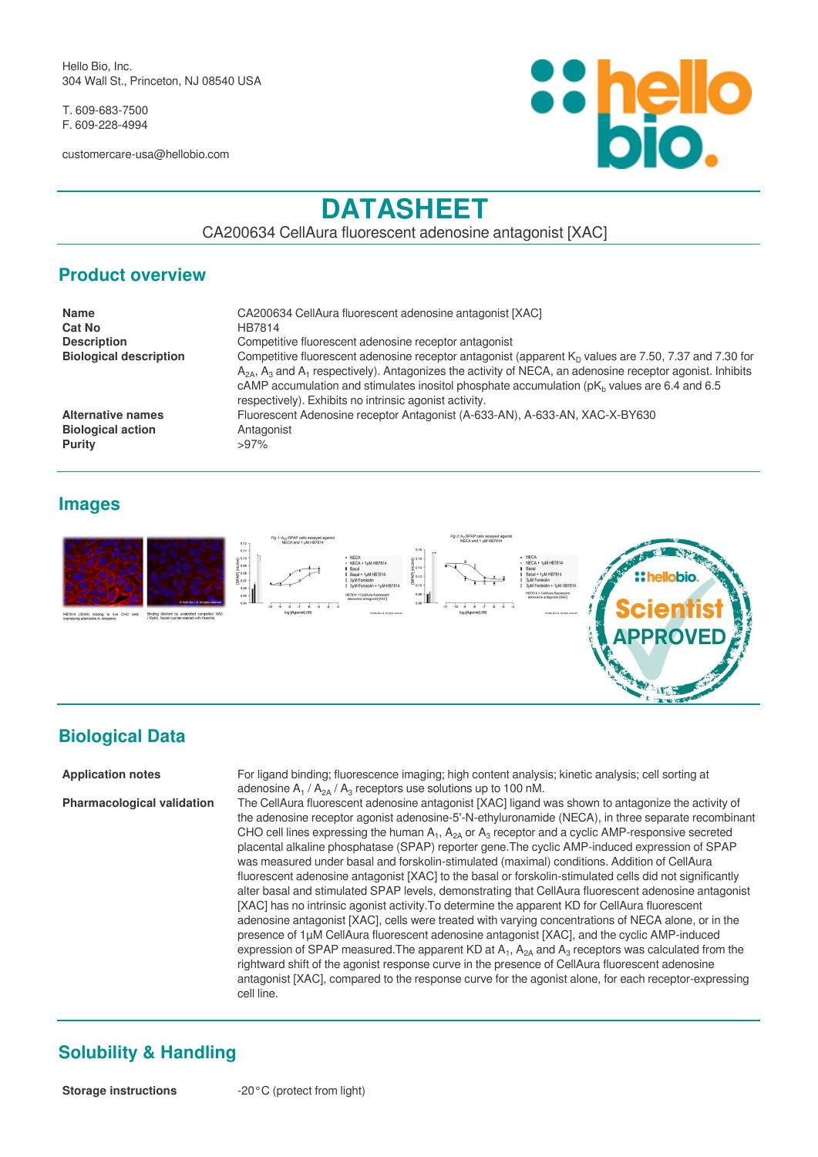Hello Bio, Inc. 304 Wall St., Princeton, NJ 08540 USA

T. 609-683-7500 F. 609-228-4994

customercare-usa@hellobio.com



# **DATASHEET**

CA200634 CellAura fluorescent adenosine antagonist [XAC]

#### **Product overview**

| <b>Name</b>                   | CA200634 CellAura fluorescent adenosine antagonist [XAC]                                                                                                                                                                                                                                                                                                                                    |
|-------------------------------|---------------------------------------------------------------------------------------------------------------------------------------------------------------------------------------------------------------------------------------------------------------------------------------------------------------------------------------------------------------------------------------------|
| Cat No                        | HB7814                                                                                                                                                                                                                                                                                                                                                                                      |
| <b>Description</b>            | Competitive fluorescent adenosine receptor antagonist                                                                                                                                                                                                                                                                                                                                       |
| <b>Biological description</b> | Competitive fluorescent adenosine receptor antagonist (apparent $KD$ values are 7.50, 7.37 and 7.30 for<br>$A_{24}$ , $A_3$ and $A_1$ respectively). Antagonizes the activity of NECA, an adenosine receptor agonist. Inhibits<br>cAMP accumulation and stimulates inositol phosphate accumulation ( $pKb$ values are 6.4 and 6.5<br>respectively). Exhibits no intrinsic agonist activity. |
| <b>Alternative names</b>      | Fluorescent Adenosine receptor Antagonist (A-633-AN), A-633-AN, XAC-X-BY630                                                                                                                                                                                                                                                                                                                 |
| <b>Biological action</b>      | Antagonist                                                                                                                                                                                                                                                                                                                                                                                  |
| Purity                        | $>97\%$                                                                                                                                                                                                                                                                                                                                                                                     |

#### **Images**



## **Biological Data**

**Application notes** For ligand binding; fluorescence imaging; high content analysis; kinetic analysis; cell sorting at adenosine  $A_1 / A_{2A} / A_3$  receptors use solutions up to 100 nM.

**Pharmacological validation** The CellAura fluorescent adenosine antagonist [XAC] ligand was shown to antagonize the activity of the adenosine receptor agonist adenosine-5'-N-ethyluronamide (NECA), in three separate recombinant CHO cell lines expressing the human  $A_1$ ,  $A_{2A}$  or  $A_3$  receptor and a cyclic AMP-responsive secreted placental alkaline phosphatase (SPAP) reporter gene.The cyclic AMP-induced expression of SPAP was measured under basal and forskolin-stimulated (maximal) conditions. Addition of CellAura fluorescent adenosine antagonist [XAC] to the basal or forskolin-stimulated cells did not significantly alter basal and stimulated SPAP levels, demonstrating that CellAura fluorescent adenosine antagonist [XAC] has no intrinsic agonist activity.To determine the apparent KD for CellAura fluorescent adenosine antagonist [XAC], cells were treated with varying concentrations of NECA alone, or in the presence of 1µM CellAura fluorescent adenosine antagonist [XAC], and the cyclic AMP-induced expression of SPAP measured. The apparent KD at  $A_1$ ,  $A_{2A}$  and  $A_3$  receptors was calculated from the rightward shift of the agonist response curve in the presence of CellAura fluorescent adenosine antagonist [XAC], compared to the response curve for the agonist alone, for each receptor-expressing cell line.

## **Solubility & Handling**